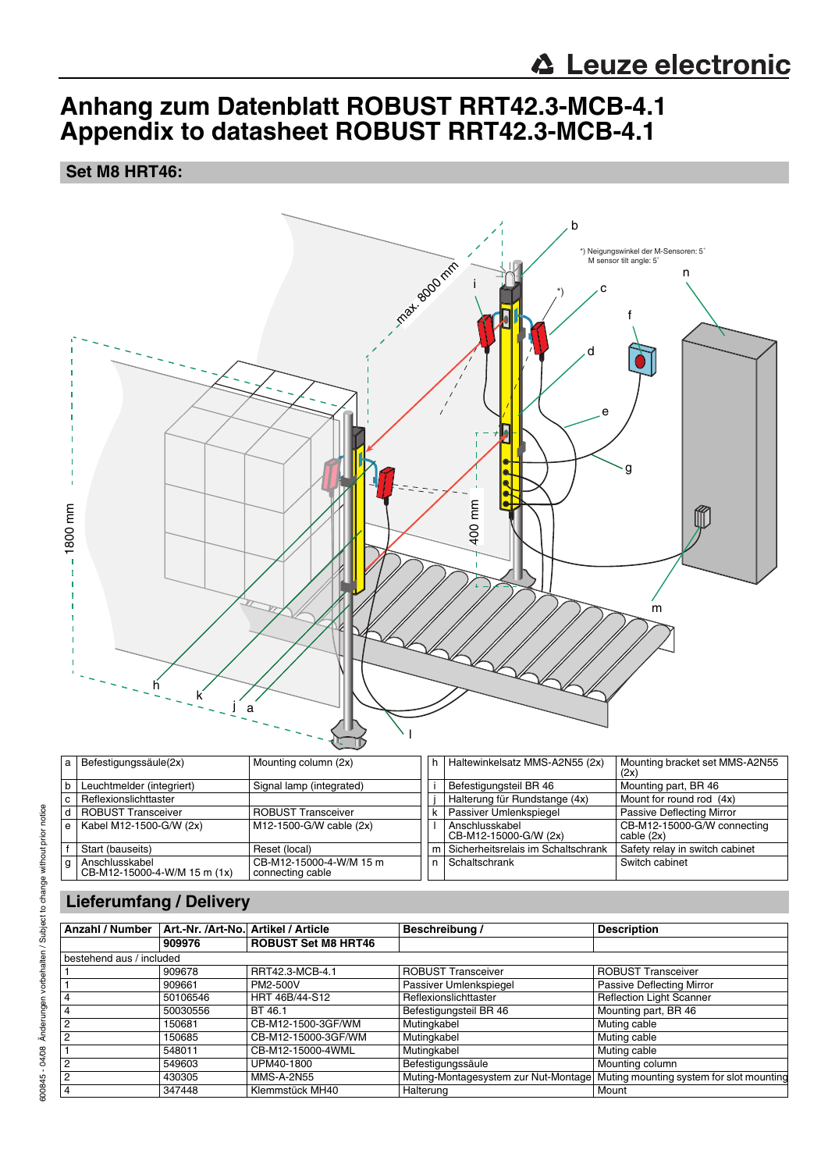# **Anhang zum Datenblatt ROBUST RRT42.3-MCB-4.1 Appendix to datasheet ROBUST RRT42.3-MCB-4.1**

#### **Set M8 HRT46:**



| a l | Befestigungssäule(2x)                          | Mounting column (2x)                        |   | h   Haltewinkelsatz MMS-A2N55 (2x)      | Mounting bracket set MMS-A2N55<br>(2x)    |
|-----|------------------------------------------------|---------------------------------------------|---|-----------------------------------------|-------------------------------------------|
| b   | Leuchtmelder (integriert)                      | Signal lamp (integrated)                    |   | Befestigungsteil BR 46                  | Mounting part, BR 46                      |
| C   | Reflexionslichttaster                          |                                             |   | Halterung für Rundstange (4x)           | Mount for round rod (4x)                  |
| d I | ROBUST Transceiver                             | <b>ROBUST Transceiver</b>                   | k | Passiver Umlenkspiegel                  | Passive Deflecting Mirror                 |
| e l | Kabel M12-1500-G/W (2x)                        | $M12-1500-G/W$ cable (2x)                   |   | Anschlusskabel<br>CB-M12-15000-G/W (2x) | CB-M12-15000-G/W connecting<br>cable (2x) |
|     | Start (bauseits)                               | Reset (local)                               | m | Sicherheitsrelais im Schaltschrank      | Safety relay in switch cabinet            |
| g   | Anschlusskabel<br>CB-M12-15000-4-W/M 15 m (1x) | CB-M12-15000-4-W/M 15 m<br>connecting cable | n | Schaltschrank                           | Switch cabinet                            |

## **Lieferumfang / Delivery**

| Anzahl / Number          |          | Art.-Nr. /Art-No. Artikel / Article | Beschreibung /            | <b>Description</b>                                                            |  |  |  |  |  |
|--------------------------|----------|-------------------------------------|---------------------------|-------------------------------------------------------------------------------|--|--|--|--|--|
|                          | 909976   | <b>ROBUST Set M8 HRT46</b>          |                           |                                                                               |  |  |  |  |  |
| bestehend aus / included |          |                                     |                           |                                                                               |  |  |  |  |  |
|                          | 909678   | RRT42.3-MCB-4.1                     | <b>ROBUST Transceiver</b> | <b>ROBUST Transceiver</b>                                                     |  |  |  |  |  |
|                          | 909661   | PM2-500V                            | Passiver Umlenkspiegel    | Passive Deflecting Mirror                                                     |  |  |  |  |  |
|                          | 50106546 | HRT 46B/44-S12                      | Reflexionslichttaster     | <b>Reflection Light Scanner</b>                                               |  |  |  |  |  |
| 4                        | 50030556 | BT 46.1                             | Befestigungsteil BR 46    | Mounting part, BR 46                                                          |  |  |  |  |  |
| $\overline{2}$           | 150681   | CB-M12-1500-3GF/WM                  | Mutingkabel               | Muting cable                                                                  |  |  |  |  |  |
| $\overline{2}$           | 150685   | CB-M12-15000-3GF/WM                 | Mutingkabel               | Muting cable                                                                  |  |  |  |  |  |
|                          | 548011   | CB-M12-15000-4WML                   | Mutingkabel               | Muting cable                                                                  |  |  |  |  |  |
| $\overline{2}$           | 549603   | UPM40-1800                          | Befestigungssäule         | Mounting column                                                               |  |  |  |  |  |
| $\overline{2}$           | 430305   | <b>MMS-A-2N55</b>                   |                           | Muting-Montagesystem zur Nut-Montage Muting mounting system for slot mounting |  |  |  |  |  |
| 4                        | 347448   | Klemmstück MH40                     | Halterung                 | Mount                                                                         |  |  |  |  |  |